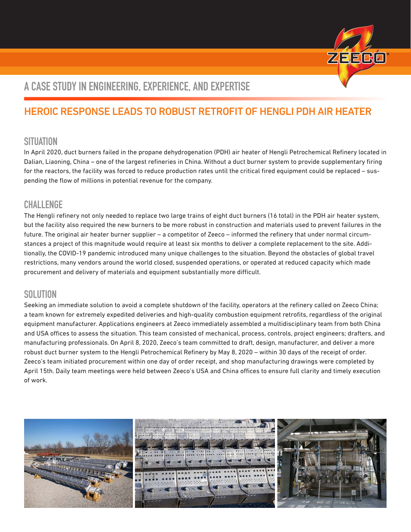

## **A CASE STUDY IN ENGINEERING, EXPERIENCE, AND EXPERTISE**

### HEROIC RESPONSE LEADS TO ROBUST RETROFIT OF HENGLI PDH AIR HEATER

### **SITUATION**

In April 2020, duct burners failed in the propane dehydrogenation (PDH) air heater of Hengli Petrochemical Refinery located in Dalian, Liaoning, China – one of the largest refineries in China. Without a duct burner system to provide supplementary firing for the reactors, the facility was forced to reduce production rates until the critical fired equipment could be replaced – suspending the flow of millions in potential revenue for the company.

#### **CHALLENGE**

The Hengli refinery not only needed to replace two large trains of eight duct burners (16 total) in the PDH air heater system, but the facility also required the new burners to be more robust in construction and materials used to prevent failures in the future. The original air heater burner supplier – a competitor of Zeeco – informed the refinery that under normal circumstances a project of this magnitude would require at least six months to deliver a complete replacement to the site. Additionally, the COVID-19 pandemic introduced many unique challenges to the situation. Beyond the obstacles of global travel restrictions, many vendors around the world closed, suspended operations, or operated at reduced capacity which made procurement and delivery of materials and equipment substantially more difficult.

#### **SOLUTION**

Seeking an immediate solution to avoid a complete shutdown of the facility, operators at the refinery called on Zeeco China; a team known for extremely expedited deliveries and high-quality combustion equipment retrofits, regardless of the original equipment manufacturer. Applications engineers at Zeeco immediately assembled a multidisciplinary team from both China and USA offices to assess the situation. This team consisted of mechanical, process, controls, project engineers; drafters, and manufacturing professionals. On April 8, 2020, Zeeco's team committed to draft, design, manufacturer, and deliver a more robust duct burner system to the Hengli Petrochemical Refinery by May 8, 2020 – within 30 days of the receipt of order. Zeeco's team initiated procurement within one day of order receipt, and shop manufacturing drawings were completed by April 15th. Daily team meetings were held between Zeeco's USA and China offices to ensure full clarity and timely execution of work.